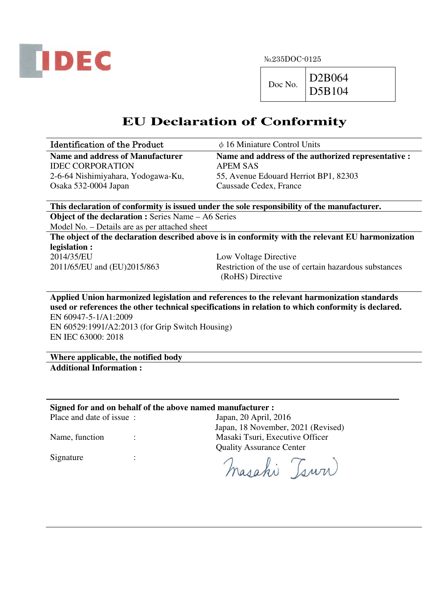

 $Doc No.$  D2B064

D5B104

# **EU Declaration of Conformity**

| <b>Identification of the Product</b> | $\phi$ 16 Miniature Control Units                   |
|--------------------------------------|-----------------------------------------------------|
| Name and address of Manufacturer     | Name and address of the authorized representative : |
| <b>IDEC CORPORATION</b>              | APEM SAS                                            |
| 2-6-64 Nishimiyahara, Yodogawa-Ku,   | 55, Avenue Edouard Herriot BP1, 82303               |
| Osaka 532-0004 Japan                 | Caussade Cedex, France                              |

**This declaration of conformity is issued under the sole responsibility of the manufacturer. Object of the declaration :** Series Name – A6 Series

Model No. – Details are as per attached sheet

**The object of the declaration described above is in conformity with the relevant EU harmonization legislation :**  2014/35/EU Low Voltage Directive

2011/65/EU and (EU)2015/863 Restriction of the use of certain hazardous substances (RoHS) Directive

**Applied Union harmonized legislation and references to the relevant harmonization standards used or references the other technical specifications in relation to which conformity is declared.**  EN 60947-5-1/A1:2009 EN 60529:1991/A2:2013 (for Grip Switch Housing)

EN IEC 63000: 2018

**Where applicable, the notified body Additional Information :** 

**Signed for and on behalf of the above named manufacturer :** 

Place and date of issue : Japan, 20 April, 2016

Signature :

Japan, 18 November, 2021 (Revised) Name, function : Masaki Tsuri, Executive Officer Quality Assurance Center

masahi Tsuri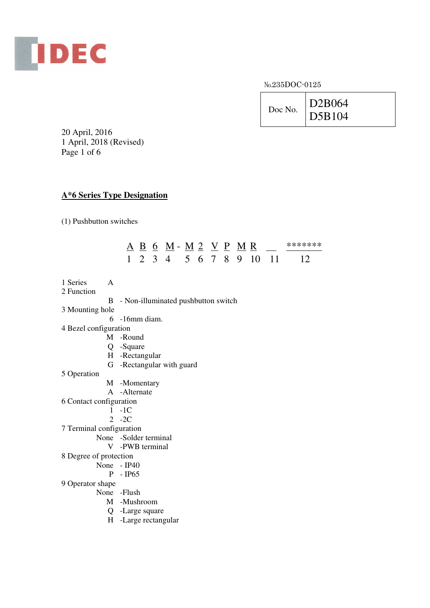

No.235DOC-0125



20 April, 2016 1 April, 2018 (Revised) Page 1 of 6

## **A\*6 Series Type Designation**

(1) Pushbutton switches

|  | A B 6 M - M 2 V P M R |  |  |  | *******                    |
|--|-----------------------|--|--|--|----------------------------|
|  |                       |  |  |  | 1 2 3 4 5 6 7 8 9 10 11 12 |

- 1 Series A 2 Function
	- B Non-illuminated pushbutton switch
- 3 Mounting hole
	- 6 -16mm diam.
- 4 Bezel configuration
	- M -Round
	- Q -Square
	- H -Rectangular
	- G -Rectangular with guard
- 5 Operation
- M -Momentary
- A -Alternate
- 6 Contact configuration
	- 1 -1C
	- 2 -2C
- 7 Terminal configuration
	- None -Solder terminal
		- V -PWB terminal
- 8 Degree of protection
	- None IP40
		- P IP65
- 9 Operator shape
	- None -Flush
		- M -Mushroom
		- Q -Large square
		- H -Large rectangular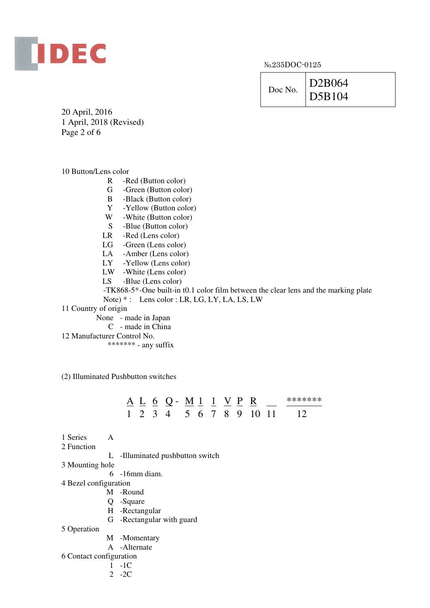

|--|

20 April, 2016 1 April, 2018 (Revised) Page 2 of 6

#### 10 Button/Lens color

- R -Red (Button color)
- G -Green (Button color)
- B -Black (Button color)
- Y -Yellow (Button color)
- W -White (Button color)
- S -Blue (Button color)
- LR -Red (Lens color)
- LG -Green (Lens color)
- LA -Amber (Lens color)
- LY -Yellow (Lens color)
- LW -White (Lens color)
- LS -Blue (Lens color)

 -TK868-5\* -One built-in t0.1 color film between the clear lens and the marking plate Note)  $*$ : Lens color : LR, LG, LY, LA, LS, LW

- 11 Country of origin
	- None made in Japan
	- C made in China
- 12 Manufacturer Control No.

\*\*\*\*\*\*\* - any suffix

(2) Illuminated Pushbutton switches

|  |  | A L 6 Q - M 1 1 V P R |  |  |  | *******                    |
|--|--|-----------------------|--|--|--|----------------------------|
|  |  |                       |  |  |  | 1 2 3 4 5 6 7 8 9 10 11 12 |

- 1 Series A
- 2 Function

L -Illuminated pushbutton switch

- 3 Mounting hole
	- 6 -16mm diam.
- 4 Bezel configuration
	- M -Round
	- Q -Square
	- H -Rectangular
	- G -Rectangular with guard
- 5 Operation
- M -Momentary
- A -Alternate
- 6 Contact configuration
	- 1 -1C
	- 2 -2C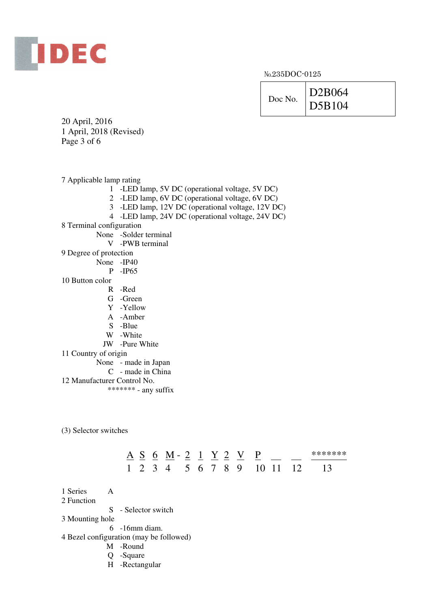

 $Doc No.$   $D2B064$ D5B104

20 April, 2016 1 April, 2018 (Revised) Page 3 of 6

7 Applicable lamp rating

- 1 -LED lamp, 5V DC (operational voltage, 5V DC)
- 2 -LED lamp, 6V DC (operational voltage, 6V DC)
- 3 -LED lamp, 12V DC (operational voltage, 12V DC)
- 4 -LED lamp, 24V DC (operational voltage, 24V DC)
- 8 Terminal configuration
	- None -Solder terminal
		- V -PWB terminal
- 9 Degree of protection
	- None -IP40
		- P -IP65
- 10 Button color
	- R -Red
	- G -Green
	- Y -Yellow
	- A -Amber
	- S -Blue
	- W -White
	- JW -Pure White
- 11 Country of origin
	- None made in Japan
		- C made in China
- 12 Manufacturer Control No.
	- \*\*\*\*\*\*\*\* any suffix

(3) Selector switches

# $A \underline{S} \underline{S} \underline{M} - 2 \underline{1} \underline{Y} \underline{2} \underline{V} \underline{P} \underline{N} \underline{S} \underline{N}$ 1 2 3 4 5 6 7 8 9 10 11 12 13

- 1 Series A
- 2 Function

S - Selector switch

3 Mounting hole

6 -16mm diam.

4 Bezel configuration (may be followed)

- M -Round
- Q -Square
- H -Rectangular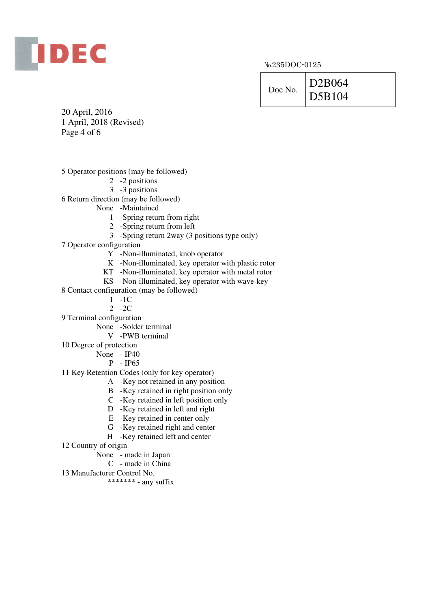

| Doc No. | D2B064 |
|---------|--------|
|         | D5B104 |

20 April, 2016 1 April, 2018 (Revised) Page 4 of 6

- 5 Operator positions (may be followed)
	- 2 -2 positions
	- 3 -3 positions

6 Return direction (may be followed)

- None -Maintained
	- 1 -Spring return from right
	- 2 -Spring return from left
	- 3 -Spring return 2way (3 positions type only)
- 7 Operator configuration
	- Y -Non-illuminated, knob operator
	- K -Non-illuminated, key operator with plastic rotor
	- KT -Non-illuminated, key operator with metal rotor
	- KS -Non-illuminated, key operator with wave-key
- 8 Contact configuration (may be followed)
	- $1 1C$
	- 2 -2C
- 9 Terminal configuration
	- None -Solder terminal
		- V -PWB terminal
- 10 Degree of protection
	- None IP40
		- P IP65
- 11 Key Retention Codes (only for key operator)
	- A -Key not retained in any position
	- B -Key retained in right position only
	- C -Key retained in left position only
	- D -Key retained in left and right
	- E -Key retained in center only
	- G -Key retained right and center
	- H -Key retained left and center
- 12 Country of origin
	- None made in Japan
		- C made in China
- 13 Manufacturer Control No.
	- \*\*\*\*\*\*\* any suffix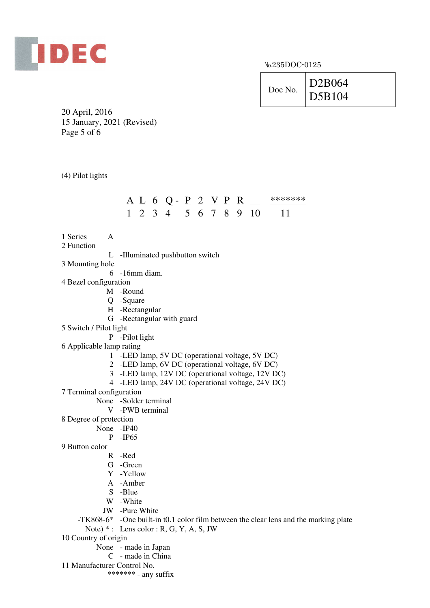

| Doc No. | D2B064 |
|---------|--------|
|         | D5B104 |

the marking plate

20 April, 2016 15 January, 2021 (Revised) Page 5 of 6

(4) Pilot lights

| 1 Series<br>A                             |                 |                                                   |  |                                                 |  |  |  |  |                                                                          |
|-------------------------------------------|-----------------|---------------------------------------------------|--|-------------------------------------------------|--|--|--|--|--------------------------------------------------------------------------|
| 2 Function                                |                 |                                                   |  |                                                 |  |  |  |  |                                                                          |
| L                                         |                 |                                                   |  | -Illuminated pushbutton switch                  |  |  |  |  |                                                                          |
| 3 Mounting hole                           |                 |                                                   |  |                                                 |  |  |  |  |                                                                          |
| 6.                                        | -16mm diam.     |                                                   |  |                                                 |  |  |  |  |                                                                          |
| 4 Bezel configuration                     |                 |                                                   |  |                                                 |  |  |  |  |                                                                          |
|                                           | M -Round        |                                                   |  |                                                 |  |  |  |  |                                                                          |
|                                           | Q -Square       |                                                   |  |                                                 |  |  |  |  |                                                                          |
|                                           | H -Rectangular  |                                                   |  |                                                 |  |  |  |  |                                                                          |
|                                           |                 |                                                   |  | G -Rectangular with guard                       |  |  |  |  |                                                                          |
| 5 Switch / Pilot light                    |                 |                                                   |  |                                                 |  |  |  |  |                                                                          |
|                                           | P -Pilot light  |                                                   |  |                                                 |  |  |  |  |                                                                          |
| 6 Applicable lamp rating                  |                 |                                                   |  |                                                 |  |  |  |  |                                                                          |
|                                           |                 |                                                   |  | 1 -LED lamp, 5V DC (operational voltage, 5V DC) |  |  |  |  |                                                                          |
|                                           |                 | 2 -LED lamp, 6V DC (operational voltage, 6V DC)   |  |                                                 |  |  |  |  |                                                                          |
|                                           |                 | 3 -LED lamp, 12V DC (operational voltage, 12V DC) |  |                                                 |  |  |  |  |                                                                          |
|                                           |                 |                                                   |  |                                                 |  |  |  |  | 4 -LED lamp, 24V DC (operational voltage, 24V DC)                        |
| 7 Terminal configuration                  |                 |                                                   |  |                                                 |  |  |  |  |                                                                          |
|                                           |                 | None -Solder terminal                             |  |                                                 |  |  |  |  |                                                                          |
|                                           | V -PWB terminal |                                                   |  |                                                 |  |  |  |  |                                                                          |
| 8 Degree of protection                    |                 |                                                   |  |                                                 |  |  |  |  |                                                                          |
| None -IP40                                |                 |                                                   |  |                                                 |  |  |  |  |                                                                          |
|                                           | $P$ -IP65       |                                                   |  |                                                 |  |  |  |  |                                                                          |
| 9 Button color                            |                 |                                                   |  |                                                 |  |  |  |  |                                                                          |
|                                           | R -Red          |                                                   |  |                                                 |  |  |  |  |                                                                          |
|                                           | G -Green        |                                                   |  |                                                 |  |  |  |  |                                                                          |
|                                           | Y -Yellow       |                                                   |  |                                                 |  |  |  |  |                                                                          |
|                                           | A -Amber        |                                                   |  |                                                 |  |  |  |  |                                                                          |
|                                           | S -Blue         |                                                   |  |                                                 |  |  |  |  |                                                                          |
|                                           | W -White        |                                                   |  |                                                 |  |  |  |  |                                                                          |
|                                           | JW -Pure White  |                                                   |  |                                                 |  |  |  |  |                                                                          |
|                                           |                 |                                                   |  |                                                 |  |  |  |  | $-TK868-6*$ -One built-in t0.1 color film between the clear lens and the |
| Note) $*$ : Lens color: R, G, Y, A, S, JW |                 |                                                   |  |                                                 |  |  |  |  |                                                                          |
| 10 Country of origin                      |                 |                                                   |  |                                                 |  |  |  |  |                                                                          |

- None made in Japan
	- C made in China
- 11 Manufacturer Control No.
	- \*\*\*\*\*\*\* any suffix